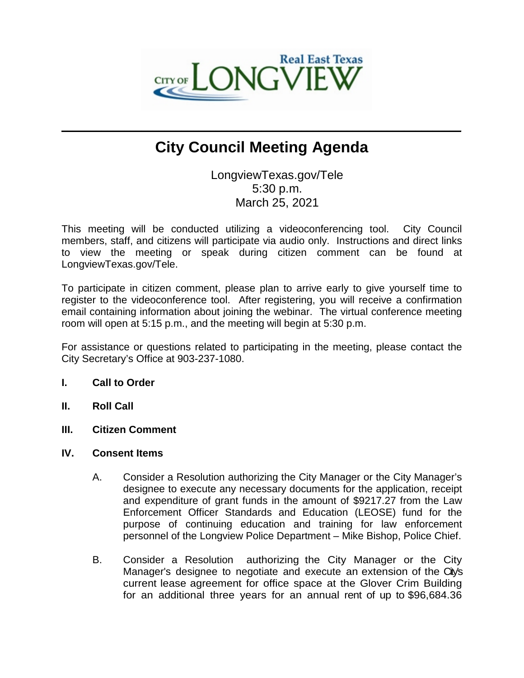

## **City Council Meeting Agenda**

 $\mathcal{L}_\mathcal{L} = \mathcal{L}_\mathcal{L}$  , where  $\mathcal{L}_\mathcal{L} = \mathcal{L}_\mathcal{L}$  ,  $\mathcal{L}_\mathcal{L} = \mathcal{L}_\mathcal{L}$  ,  $\mathcal{L}_\mathcal{L} = \mathcal{L}_\mathcal{L}$  ,  $\mathcal{L}_\mathcal{L} = \mathcal{L}_\mathcal{L}$ 

LongviewTexas.gov/Tele 5:30 p.m. March 25, 2021

This meeting will be conducted utilizing a videoconferencing tool. City Council members, staff, and citizens will participate via audio only. Instructions and direct links to view the meeting or speak during citizen comment can be found at LongviewTexas.gov/Tele.

To participate in citizen comment, please plan to arrive early to give yourself time to register to the videoconference tool. After registering, you will receive a confirmation email containing information about joining the webinar. The virtual conference meeting room will open at 5:15 p.m., and the meeting will begin at 5:30 p.m.

For assistance or questions related to participating in the meeting, please contact the City Secretary's Office at 903-237-1080.

## **I. Call to Order**

- **II. Roll Call**
- **III. Citizen Comment**
- **IV. Consent Items**
	- A. Consider a Resolution authorizing the City Manager or the City Manager's designee to execute any necessary documents for the application, receipt and expenditure of grant funds in the amount of \$9217.27 from the Law Enforcement Officer Standards and Education (LEOSE) fund for the purpose of continuing education and training for law enforcement personnel of the Longview Police Department – Mike Bishop, Police Chief.
	- B. Consider a Resolution authorizing the City Manager or the City Manager's designee to negotiate and execute an extension of the City's current lease agreement for office space at the Glover Crim Building for an additional three years for an annual rent of up to \$96,684.36